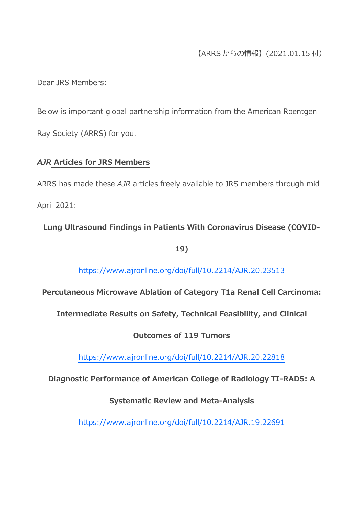## 【ARRS からの情報】(2021.01.15 付)

Dear JRS Members:

Below is important global partnership information from the American Roentgen Ray Society (ARRS) for you.

### *AJR* **Articles for JRS Members**

ARRS has made these *AJR* articles freely available to JRS members through mid-April 2021:

**Lung Ultrasound Findings in Patients With Coronavirus Disease (COVID-**

**19)**

https://www.ajronline.org/doi/full/10.2214/AJR.20.23513

**Percutaneous Microwave Ablation of Category T1a Renal Cell Carcinoma:** 

**Intermediate Results on Safety, Technical Feasibility, and Clinical** 

**Outcomes of 119 Tumors**

https://www.ajronline.org/doi/full/10.2214/AJR.20.22818

**Diagnostic Performance of American College of Radiology TI-RADS: A** 

**Systematic Review and Meta-Analysis**

https://www.ajronline.org/doi/full/10.2214/AJR.19.22691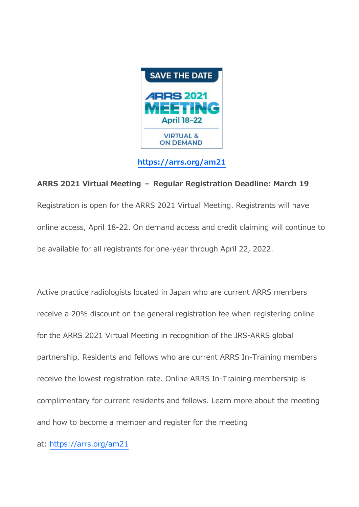

**https://arrs.org/am21**

### **ARRS 2021 Virtual Meeting – Regular Registration Deadline: March 19**

Registration is open for the ARRS 2021 Virtual Meeting. Registrants will have online access, April 18-22. On demand access and credit claiming will continue to be available for all registrants for one-year through April 22, 2022.

Active practice radiologists located in Japan who are current ARRS members receive a 20% discount on the general registration fee when registering online for the ARRS 2021 Virtual Meeting in recognition of the JRS-ARRS global partnership. Residents and fellows who are current ARRS In-Training members receive the lowest registration rate. Online ARRS In-Training membership is complimentary for current residents and fellows. Learn more about the meeting and how to become a member and register for the meeting

at: https://arrs.org/am21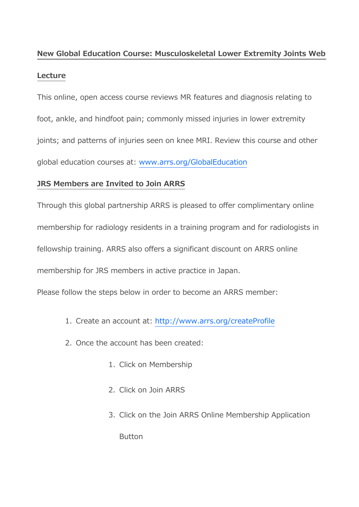# **New Global Education Course: Musculoskeletal Lower Extremity Joints Web**

#### **Lecture**

This online, open access course reviews MR features and diagnosis relating to foot, ankle, and hindfoot pain; commonly missed injuries in lower extremity joints; and patterns of injuries seen on knee MRI. Review this course and other global education courses at: www.arrs.org/GlobalEducation

#### **JRS Members are Invited to Join ARRS**

Through this global partnership ARRS is pleased to offer complimentary online membership for radiology residents in a training program and for radiologists in fellowship training. ARRS also offers a significant discount on ARRS online membership for JRS members in active practice in Japan.

Please follow the steps below in order to become an ARRS member:

- 1. Create an account at: http://www.arrs.org/createProfile
- 2. Once the account has been created:
	- 1. Click on Membership
	- 2. Click on Join ARRS
	- 3. Click on the Join ARRS Online Membership Application

**Button**